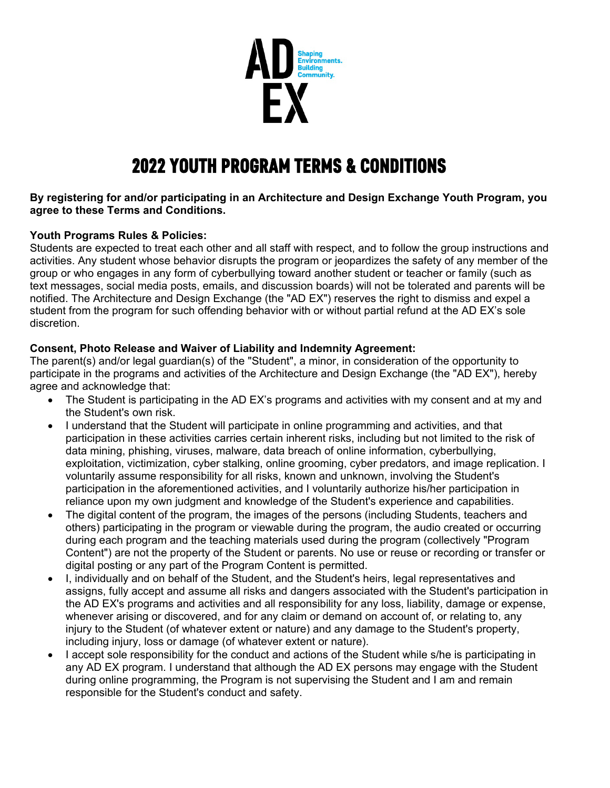

# 2022 YOUTH PROGRAM TERMS & CONDITIONS

### **By registering for and/or participating in an Architecture and Design Exchange Youth Program, you agree to these Terms and Conditions.**

## **Youth Programs Rules & Policies:**

Students are expected to treat each other and all staff with respect, and to follow the group instructions and activities. Any student whose behavior disrupts the program or jeopardizes the safety of any member of the group or who engages in any form of cyberbullying toward another student or teacher or family (such as text messages, social media posts, emails, and discussion boards) will not be tolerated and parents will be notified. The Architecture and Design Exchange (the "AD EX") reserves the right to dismiss and expel a student from the program for such offending behavior with or without partial refund at the AD EX's sole discretion.

## **Consent, Photo Release and Waiver of Liability and Indemnity Agreement:**

The parent(s) and/or legal guardian(s) of the "Student", a minor, in consideration of the opportunity to participate in the programs and activities of the Architecture and Design Exchange (the "AD EX"), hereby agree and acknowledge that:

- The Student is participating in the AD EX's programs and activities with my consent and at my and the Student's own risk.
- I understand that the Student will participate in online programming and activities, and that participation in these activities carries certain inherent risks, including but not limited to the risk of data mining, phishing, viruses, malware, data breach of online information, cyberbullying, exploitation, victimization, cyber stalking, online grooming, cyber predators, and image replication. I voluntarily assume responsibility for all risks, known and unknown, involving the Student's participation in the aforementioned activities, and I voluntarily authorize his/her participation in reliance upon my own judgment and knowledge of the Student's experience and capabilities.
- The digital content of the program, the images of the persons (including Students, teachers and others) participating in the program or viewable during the program, the audio created or occurring during each program and the teaching materials used during the program (collectively "Program Content") are not the property of the Student or parents. No use or reuse or recording or transfer or digital posting or any part of the Program Content is permitted.
- I, individually and on behalf of the Student, and the Student's heirs, legal representatives and assigns, fully accept and assume all risks and dangers associated with the Student's participation in the AD EX's programs and activities and all responsibility for any loss, liability, damage or expense, whenever arising or discovered, and for any claim or demand on account of, or relating to, any injury to the Student (of whatever extent or nature) and any damage to the Student's property, including injury, loss or damage (of whatever extent or nature).
- I accept sole responsibility for the conduct and actions of the Student while s/he is participating in any AD EX program. I understand that although the AD EX persons may engage with the Student during online programming, the Program is not supervising the Student and I am and remain responsible for the Student's conduct and safety.